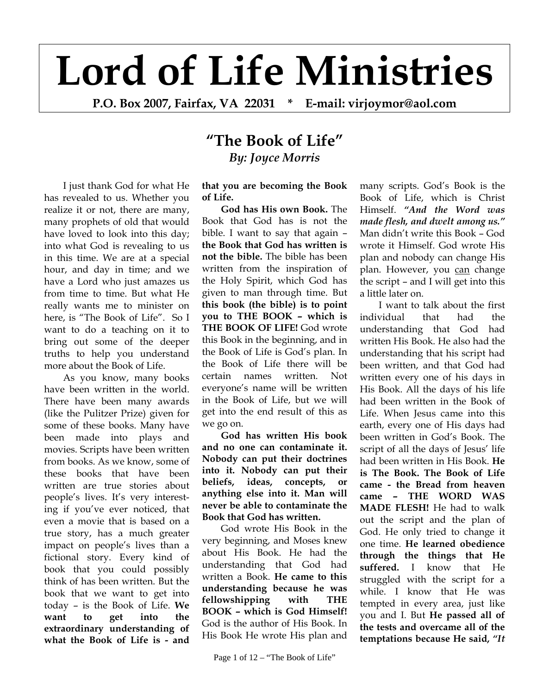## **Lord of Life Ministries**

**P.O. Box 2007, Fairfax, VA 22031 \* E-mail: virjoymor@aol.com**

## **"The Book of Life"** *By: Joyce Morris*

I just thank God for what He has revealed to us. Whether you realize it or not, there are many, many prophets of old that would have loved to look into this day; into what God is revealing to us in this time. We are at a special hour, and day in time; and we have a Lord who just amazes us from time to time. But what He really wants me to minister on here, is "The Book of Life". So I want to do a teaching on it to bring out some of the deeper truths to help you understand more about the Book of Life.

As you know, many books have been written in the world. There have been many awards (like the Pulitzer Prize) given for some of these books. Many have been made into plays and movies. Scripts have been written from books. As we know, some of these books that have been written are true stories about people's lives. It's very interesting if you've ever noticed, that even a movie that is based on a true story, has a much greater impact on people's lives than a fictional story. Every kind of book that you could possibly think of has been written. But the book that we want to get into today – is the Book of Life. **We want to get into the extraordinary understanding of what the Book of Life is - and** 

**that you are becoming the Book of Life.**

**God has His own Book.** The Book that God has is not the bible. I want to say that again – **the Book that God has written is not the bible.** The bible has been written from the inspiration of the Holy Spirit, which God has given to man through time. But **this book (the bible) is to point you to THE BOOK – which is THE BOOK OF LIFE!** God wrote this Book in the beginning, and in the Book of Life is God's plan. In the Book of Life there will be certain names written. Not everyone's name will be written in the Book of Life, but we will get into the end result of this as we go on.

**God has written His book and no one can contaminate it. Nobody can put their doctrines into it. Nobody can put their beliefs, ideas, concepts, or anything else into it. Man will never be able to contaminate the Book that God has written.** 

God wrote His Book in the very beginning, and Moses knew about His Book. He had the understanding that God had written a Book. **He came to this understanding because he was fellowshipping with THE BOOK – which is God Himself!** God is the author of His Book. In His Book He wrote His plan and

many scripts. God's Book is the Book of Life, which is Christ Himself. *"And the Word was made flesh, and dwelt among us."* Man didn't write this Book – God wrote it Himself. God wrote His plan and nobody can change His plan. However, you can change the script – and I will get into this a little later on.

I want to talk about the first individual that had the understanding that God had written His Book. He also had the understanding that his script had been written, and that God had written every one of his days in His Book. All the days of his life had been written in the Book of Life. When Jesus came into this earth, every one of His days had been written in God's Book. The script of all the days of Jesus' life had been written in His Book. **He is The Book. The Book of Life came - the Bread from heaven came – THE WORD WAS MADE FLESH!** He had to walk out the script and the plan of God. He only tried to change it one time. **He learned obedience through the things that He suffered.** I know that He struggled with the script for a while. I know that He was tempted in every area, just like you and I. But **He passed all of the tests and overcame all of the temptations because He said,** *"It*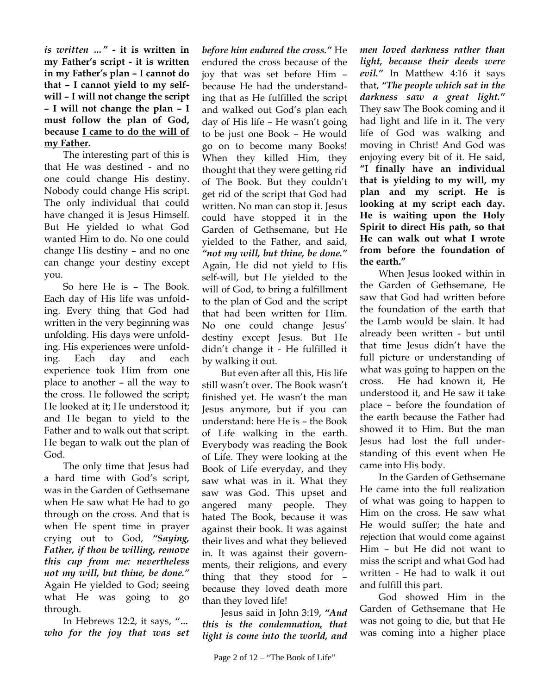*is written …"* **- it is written in my Father's script - it is written in my Father's plan – I cannot do that – I cannot yield to my selfwill – I will not change the script – I will not change the plan – I must follow the plan of God, because I came to do the will of my Father.** 

The interesting part of this is that He was destined - and no one could change His destiny. Nobody could change His script. The only individual that could have changed it is Jesus Himself. But He yielded to what God wanted Him to do. No one could change His destiny – and no one can change your destiny except you.

So here He is – The Book. Each day of His life was unfolding. Every thing that God had written in the very beginning was unfolding. His days were unfolding. His experiences were unfolding. Each day and each experience took Him from one place to another – all the way to the cross. He followed the script; He looked at it; He understood it; and He began to yield to the Father and to walk out that script. He began to walk out the plan of God.

The only time that Jesus had a hard time with God's script, was in the Garden of Gethsemane when He saw what He had to go through on the cross. And that is when He spent time in prayer crying out to God, *"Saying, Father, if thou be willing, remove this cup from me: nevertheless not my will, but thine, be done."* Again He yielded to God; seeing what He was going to go through.

In Hebrews 12:2, it says, *"… who for the joy that was set*  *before him endured the cross."* He endured the cross because of the joy that was set before Him – because He had the understanding that as He fulfilled the script and walked out God's plan each day of His life – He wasn't going to be just one Book – He would go on to become many Books! When they killed Him, they thought that they were getting rid of The Book. But they couldn't get rid of the script that God had written. No man can stop it. Jesus could have stopped it in the Garden of Gethsemane, but He yielded to the Father, and said, *"not my will, but thine, be done."* Again, He did not yield to His self-will, but He yielded to the will of God, to bring a fulfillment to the plan of God and the script that had been written for Him. No one could change Jesus' destiny except Jesus. But He didn't change it - He fulfilled it by walking it out.

But even after all this, His life still wasn't over. The Book wasn't finished yet. He wasn't the man Jesus anymore, but if you can understand: here He is – the Book of Life walking in the earth. Everybody was reading the Book of Life. They were looking at the Book of Life everyday, and they saw what was in it. What they saw was God. This upset and angered many people. They hated The Book, because it was against their book. It was against their lives and what they believed in. It was against their governments, their religions, and every thing that they stood for – because they loved death more than they loved life!

Jesus said in John 3:19, *"And this is the condemnation, that light is come into the world, and* 

*men loved darkness rather than light, because their deeds were evil."* In Matthew 4:16 it says that, *"The people which sat in the darkness saw a great light."* They saw The Book coming and it had light and life in it. The very life of God was walking and moving in Christ! And God was enjoying every bit of it. He said, **"I finally have an individual that is yielding to my will, my plan and my script. He is looking at my script each day. He is waiting upon the Holy Spirit to direct His path, so that He can walk out what I wrote from before the foundation of the earth."**

When Jesus looked within in the Garden of Gethsemane, He saw that God had written before the foundation of the earth that the Lamb would be slain. It had already been written - but until that time Jesus didn't have the full picture or understanding of what was going to happen on the cross. He had known it, He understood it, and He saw it take place – before the foundation of the earth because the Father had showed it to Him. But the man Jesus had lost the full understanding of this event when He came into His body.

In the Garden of Gethsemane He came into the full realization of what was going to happen to Him on the cross. He saw what He would suffer; the hate and rejection that would come against Him – but He did not want to miss the script and what God had written - He had to walk it out and fulfill this part.

God showed Him in the Garden of Gethsemane that He was not going to die, but that He was coming into a higher place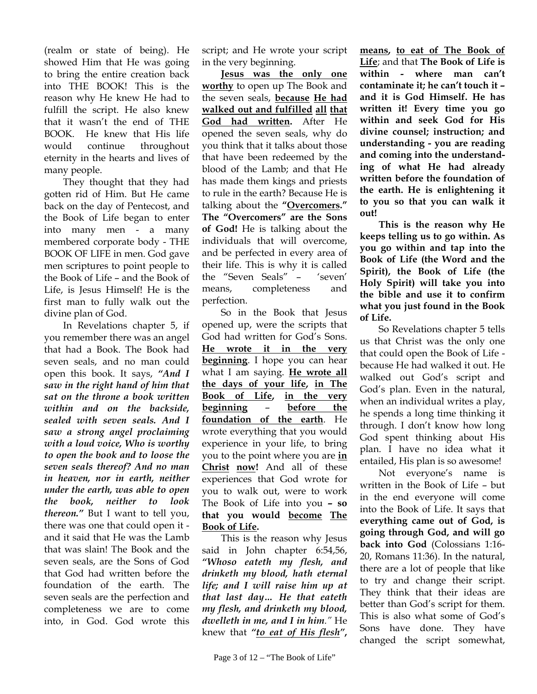(realm or state of being). He showed Him that He was going to bring the entire creation back into THE BOOK! This is the reason why He knew He had to fulfill the script. He also knew that it wasn't the end of THE BOOK. He knew that His life would continue throughout eternity in the hearts and lives of many people.

They thought that they had gotten rid of Him. But He came back on the day of Pentecost, and the Book of Life began to enter into many men - a many membered corporate body - THE BOOK OF LIFE in men. God gave men scriptures to point people to the Book of Life – and the Book of Life, is Jesus Himself! He is the first man to fully walk out the divine plan of God.

In Revelations chapter 5, if you remember there was an angel that had a Book. The Book had seven seals, and no man could open this book. It says, *"And I saw in the right hand of him that sat on the throne a book written within and on the backside, sealed with seven seals. And I saw a strong angel proclaiming with a loud voice, Who is worthy to open the book and to loose the seven seals thereof? And no man in heaven, nor in earth, neither under the earth, was able to open the book, neither to look thereon."* But I want to tell you, there was one that could open it and it said that He was the Lamb that was slain! The Book and the seven seals, are the Sons of God that God had written before the foundation of the earth. The seven seals are the perfection and completeness we are to come into, in God. God wrote this

script; and He wrote your script in the very beginning.

**Jesus was the only one worthy** to open up The Book and the seven seals, **because He had walked out and fulfilled all that God had written.** After He opened the seven seals, why do you think that it talks about those that have been redeemed by the blood of the Lamb; and that He has made them kings and priests to rule in the earth? Because He is talking about the **"Overcomers." The "Overcomers" are the Sons of God!** He is talking about the individuals that will overcome, and be perfected in every area of their life. This is why it is called the "Seven Seals" – 'seven' means, completeness and perfection.

So in the Book that Jesus opened up, were the scripts that God had written for God's Sons. **He wrote it in the very beginning**. I hope you can hear what I am saying. **He wrote all the days of your life, in The Book of Life, in the very beginning** – **before the foundation of the earth**. He wrote everything that you would experience in your life, to bring you to the point where you are **in Christ now!** And all of these experiences that God wrote for you to walk out, were to work The Book of Life into you **– so that you would become The Book of Life.**

This is the reason why Jesus said in John chapter 6:54,56, *"Whoso eateth my flesh, and drinketh my blood, hath eternal life; and I will raise him up at that last day… He that eateth my flesh, and drinketh my blood, dwelleth in me, and I in him."* He knew that *"to eat of His flesh"***,** 

**means, to eat of The Book of Life**; and that **The Book of Life is within - where man can't contaminate it; he can't touch it – and it is God Himself. He has written it! Every time you go within and seek God for His divine counsel; instruction; and understanding - you are reading and coming into the understanding of what He had already written before the foundation of the earth. He is enlightening it to you so that you can walk it out!** 

**This is the reason why He keeps telling us to go within. As you go within and tap into the Book of Life (the Word and the Spirit), the Book of Life (the Holy Spirit) will take you into the bible and use it to confirm what you just found in the Book of Life.** 

So Revelations chapter 5 tells us that Christ was the only one that could open the Book of Life because He had walked it out. He walked out God's script and God's plan. Even in the natural, when an individual writes a play, he spends a long time thinking it through. I don't know how long God spent thinking about His plan. I have no idea what it entailed, His plan is so awesome!

Not everyone's name is written in the Book of Life – but in the end everyone will come into the Book of Life. It says that **everything came out of God, is going through God, and will go back into God** (Colossians 1:16- 20, Romans 11:36). In the natural, there are a lot of people that like to try and change their script. They think that their ideas are better than God's script for them. This is also what some of God's Sons have done. They have changed the script somewhat,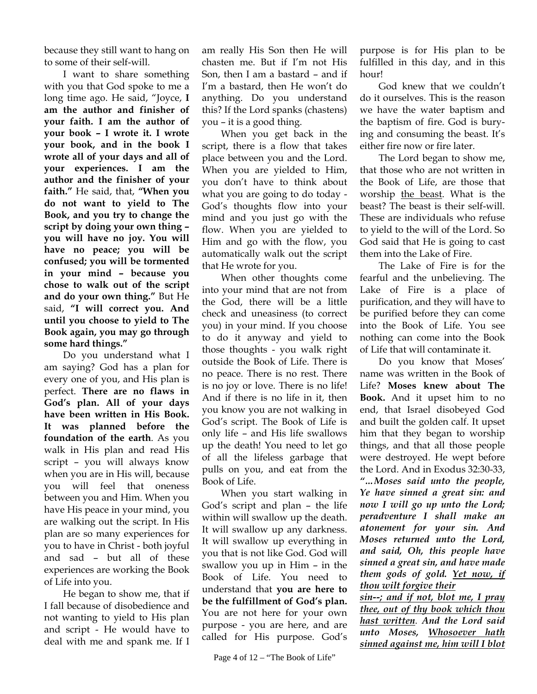because they still want to hang on to some of their self-will.

I want to share something with you that God spoke to me a long time ago. He said, "Joyce, **I am the author and finisher of your faith. I am the author of your book – I wrote it. I wrote your book, and in the book I wrote all of your days and all of your experiences. I am the author and the finisher of your faith."** He said, that, **"When you do not want to yield to The Book, and you try to change the script by doing your own thing – you will have no joy. You will have no peace; you will be confused; you will be tormented in your mind – because you chose to walk out of the script and do your own thing."** But He said, **"I will correct you. And until you choose to yield to The Book again, you may go through some hard things."** 

Do you understand what I am saying? God has a plan for every one of you, and His plan is perfect. **There are no flaws in God's plan. All of your days have been written in His Book. It was planned before the foundation of the earth**. As you walk in His plan and read His script – you will always know when you are in His will, because you will feel that oneness between you and Him. When you have His peace in your mind, you are walking out the script. In His plan are so many experiences for you to have in Christ - both joyful and sad – but all of these experiences are working the Book of Life into you.

He began to show me, that if I fall because of disobedience and not wanting to yield to His plan and script - He would have to deal with me and spank me. If I

am really His Son then He will chasten me. But if I'm not His Son, then I am a bastard – and if I'm a bastard, then He won't do anything. Do you understand this? If the Lord spanks (chastens) you – it is a good thing.

When you get back in the script, there is a flow that takes place between you and the Lord. When you are yielded to Him, you don't have to think about what you are going to do today - God's thoughts flow into your mind and you just go with the flow. When you are yielded to Him and go with the flow, you automatically walk out the script that He wrote for you.

When other thoughts come into your mind that are not from the God, there will be a little check and uneasiness (to correct you) in your mind. If you choose to do it anyway and yield to those thoughts - you walk right outside the Book of Life. There is no peace. There is no rest. There is no joy or love. There is no life! And if there is no life in it, then you know you are not walking in God's script. The Book of Life is only life – and His life swallows up the death! You need to let go of all the lifeless garbage that pulls on you, and eat from the Book of Life.

When you start walking in God's script and plan – the life within will swallow up the death. It will swallow up any darkness. It will swallow up everything in you that is not like God. God will swallow you up in Him – in the Book of Life. You need to understand that **you are here to be the fulfillment of God's plan.** You are not here for your own purpose - you are here, and are called for His purpose. God's

purpose is for His plan to be fulfilled in this day, and in this hour!

God knew that we couldn't do it ourselves. This is the reason we have the water baptism and the baptism of fire. God is burying and consuming the beast. It's either fire now or fire later.

The Lord began to show me, that those who are not written in the Book of Life, are those that worship the beast. What is the beast? The beast is their self-will. These are individuals who refuse to yield to the will of the Lord. So God said that He is going to cast them into the Lake of Fire.

The Lake of Fire is for the fearful and the unbelieving. The Lake of Fire is a place of purification, and they will have to be purified before they can come into the Book of Life. You see nothing can come into the Book of Life that will contaminate it.

Do you know that Moses' name was written in the Book of Life? **Moses knew about The Book.** And it upset him to no end, that Israel disobeyed God and built the golden calf. It upset him that they began to worship things, and that all those people were destroyed. He wept before the Lord. And in Exodus 32:30-33, *"…Moses said unto the people, Ye have sinned a great sin: and now I will go up unto the Lord; peradventure I shall make an atonement for your sin. And Moses returned unto the Lord, and said, Oh, this people have sinned a great sin, and have made them gods of gold. Yet now, if thou wilt forgive their*

*sin--; and if not, blot me, I pray thee, out of thy book which thou hast written. And the Lord said unto Moses, Whosoever hath sinned against me, him will I blot*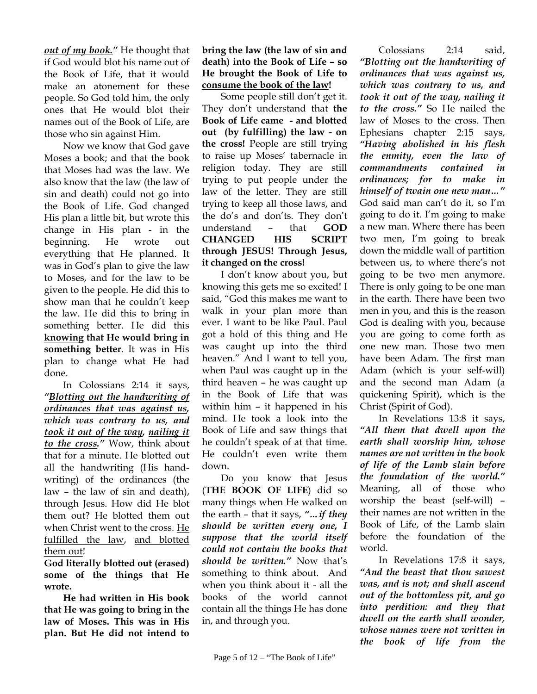*out of my book."* He thought that if God would blot his name out of the Book of Life, that it would make an atonement for these people. So God told him, the only ones that He would blot their names out of the Book of Life, are those who sin against Him.

Now we know that God gave Moses a book; and that the book that Moses had was the law. We also know that the law (the law of sin and death) could not go into the Book of Life. God changed His plan a little bit, but wrote this change in His plan - in the beginning. He wrote out everything that He planned. It was in God's plan to give the law to Moses, and for the law to be given to the people. He did this to show man that he couldn't keep the law. He did this to bring in something better. He did this **knowing that He would bring in something better**. It was in His plan to change what He had done.

In Colossians 2:14 it says, *"Blotting out the handwriting of ordinances that was against us, which was contrary to us, and took it out of the way, nailing it to the cross."* Wow, think about that for a minute. He blotted out all the handwriting (His handwriting) of the ordinances (the law – the law of sin and death), through Jesus. How did He blot them out? He blotted them out when Christ went to the cross. He fulfilled the law, and blotted them out!

**God literally blotted out (erased) some of the things that He wrote.** 

**He had written in His book that He was going to bring in the law of Moses. This was in His plan. But He did not intend to** 

## **bring the law (the law of sin and death) into the Book of Life – so He brought the Book of Life to consume the book of the law!**

 Some people still don't get it. They don't understand that **the Book of Life came - and blotted out (by fulfilling) the law - on the cross!** People are still trying to raise up Moses' tabernacle in religion today. They are still trying to put people under the law of the letter. They are still trying to keep all those laws, and the do's and don'ts. They don't understand – that **GOD CHANGED HIS SCRIPT through JESUS! Through Jesus, it changed on the cross!** 

I don't know about you, but knowing this gets me so excited! I said, "God this makes me want to walk in your plan more than ever. I want to be like Paul. Paul got a hold of this thing and He was caught up into the third heaven." And I want to tell you, when Paul was caught up in the third heaven – he was caught up in the Book of Life that was within him – it happened in his mind. He took a look into the Book of Life and saw things that he couldn't speak of at that time. He couldn't even write them down.

Do you know that Jesus (**THE BOOK OF LIFE**) did so many things when He walked on the earth – that it says, *"…if they should be written every one, I suppose that the world itself could not contain the books that should be written."* Now that's something to think about. And when you think about it - all the books of the world cannot contain all the things He has done in, and through you.

*"Blotting out the handwriting of ordinances that was against us, which was contrary to us, and took it out of the way, nailing it to the cross."* So He nailed the law of Moses to the cross. Then Ephesians chapter 2:15 says, *"Having abolished in his flesh the enmity, even the law of commandments contained in ordinances; for to make in himself of twain one new man…"* God said man can't do it, so I'm going to do it. I'm going to make a new man. Where there has been two men, I'm going to break down the middle wall of partition between us, to where there's not going to be two men anymore. There is only going to be one man in the earth. There have been two men in you, and this is the reason God is dealing with you, because you are going to come forth as one new man. Those two men have been Adam. The first man Adam (which is your self-will) and the second man Adam (a quickening Spirit), which is the Christ (Spirit of God).

Colossians 2:14 said,

 In Revelations 13:8 it says, *"All them that dwell upon the earth shall worship him, whose names are not written in the book of life of the Lamb slain before the foundation of the world."* Meaning, all of those who worship the beast (self-will) – their names are not written in the Book of Life, of the Lamb slain before the foundation of the world.

In Revelations 17:8 it says, *"And the beast that thou sawest was, and is not; and shall ascend out of the bottomless pit, and go into perdition: and they that dwell on the earth shall wonder, whose names were not written in the book of life from the*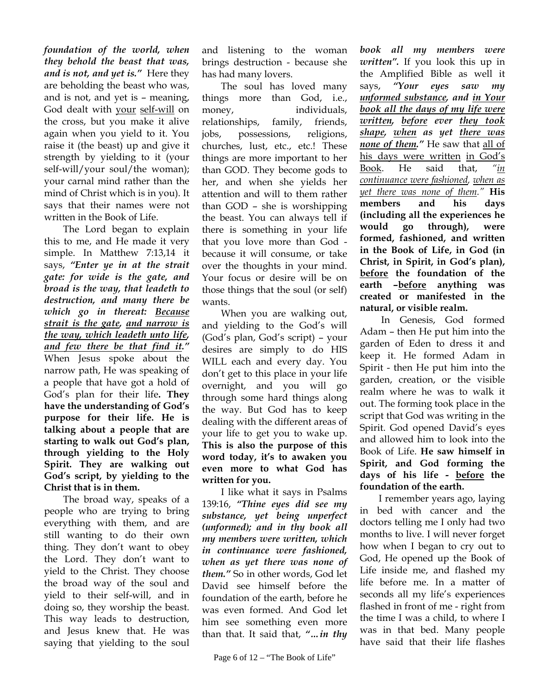*foundation of the world, when they behold the beast that was, and is not, and yet is."* Here they are beholding the beast who was, and is not, and yet is – meaning, God dealt with your self-will on the cross, but you make it alive again when you yield to it. You raise it (the beast) up and give it strength by yielding to it (your self-will/your soul/the woman); your carnal mind rather than the mind of Christ which is in you). It says that their names were not written in the Book of Life.

The Lord began to explain this to me, and He made it very simple. In Matthew 7:13,14 it says, *"Enter ye in at the strait gate: for wide is the gate, and broad is the way, that leadeth to destruction, and many there be which go in thereat: Because strait is the gate, and narrow is the way, which leadeth unto life, and few there be that find it."* When Jesus spoke about the narrow path, He was speaking of a people that have got a hold of God's plan for their life**. They have the understanding of God's purpose for their life. He is talking about a people that are starting to walk out God's plan, through yielding to the Holy Spirit. They are walking out God's script, by yielding to the Christ that is in them.** 

The broad way, speaks of a people who are trying to bring everything with them, and are still wanting to do their own thing. They don't want to obey the Lord. They don't want to yield to the Christ. They choose the broad way of the soul and yield to their self-will, and in doing so, they worship the beast. This way leads to destruction, and Jesus knew that. He was saying that yielding to the soul

and listening to the woman brings destruction - because she has had many lovers.

The soul has loved many things more than God, i.e., money, individuals, relationships, family, friends, jobs, possessions, religions, churches, lust, etc., etc.! These things are more important to her than GOD. They become gods to her, and when she yields her attention and will to them rather than GOD – she is worshipping the beast. You can always tell if there is something in your life that you love more than God because it will consume, or take over the thoughts in your mind. Your focus or desire will be on those things that the soul (or self) wants.

When you are walking out, and yielding to the God's will (God's plan, God's script) – your desires are simply to do HIS WILL each and every day. You don't get to this place in your life overnight, and you will go through some hard things along the way. But God has to keep dealing with the different areas of your life to get you to wake up. **This is also the purpose of this word today, it's to awaken you even more to what God has written for you.** 

I like what it says in Psalms 139:16, *"Thine eyes did see my substance, yet being unperfect (unformed); and in thy book all my members were written, which in continuance were fashioned, when as yet there was none of them."* So in other words, God let David see himself before the foundation of the earth, before he was even formed. And God let him see something even more than that. It said that, *"…in thy* 

*book all my members were written".* If you look this up in the Amplified Bible as well it says, *"Your eyes saw my unformed substance, and in Your book all the days of my life were written, before ever they took shape, when as yet there was none of them."* He saw that all of his days were written in God's Book. He said that, *"in continuance were fashioned, when as yet there was none of them."* **His members and his days (including all the experiences he would go through), were formed, fashioned, and written in the Book of Life, in God (in Christ, in Spirit, in God's plan), before the foundation of the earth –before anything was created or manifested in the natural, or visible realm.** 

In Genesis, God formed Adam – then He put him into the garden of Eden to dress it and keep it. He formed Adam in Spirit - then He put him into the garden, creation, or the visible realm where he was to walk it out. The forming took place in the script that God was writing in the Spirit. God opened David's eyes and allowed him to look into the Book of Life. **He saw himself in Spirit, and God forming the days of his life - before the foundation of the earth.**

I remember years ago, laying in bed with cancer and the doctors telling me I only had two months to live. I will never forget how when I began to cry out to God, He opened up the Book of Life inside me, and flashed my life before me. In a matter of seconds all my life's experiences flashed in front of me - right from the time I was a child, to where I was in that bed. Many people have said that their life flashes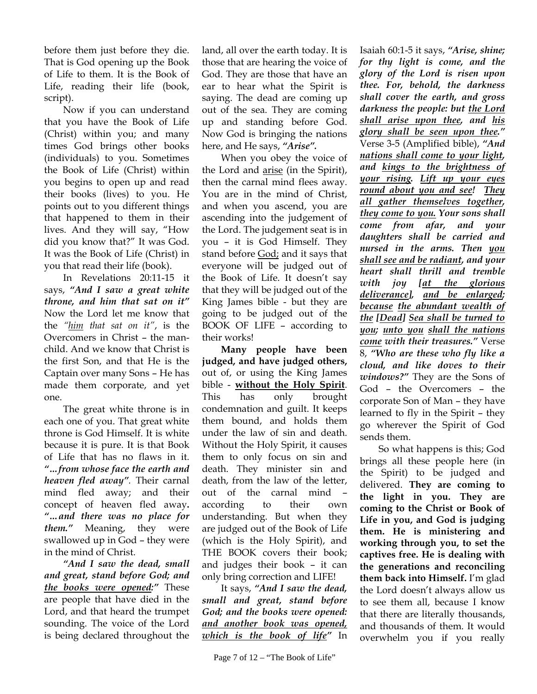before them just before they die. That is God opening up the Book of Life to them. It is the Book of Life, reading their life (book, script).

Now if you can understand that you have the Book of Life (Christ) within you; and many times God brings other books (individuals) to you. Sometimes the Book of Life (Christ) within you begins to open up and read their books (lives) to you. He points out to you different things that happened to them in their lives. And they will say, "How did you know that?" It was God. It was the Book of Life (Christ) in you that read their life (book).

In Revelations 20:11-15 it says, *"And I saw a great white throne, and him that sat on it"* Now the Lord let me know that the *"him that sat on it"*, is the Overcomers in Christ – the manchild. And we know that Christ is the first Son, and that He is the Captain over many Sons – He has made them corporate, and yet one.

The great white throne is in each one of you. That great white throne is God Himself. It is white because it is pure. It is that Book of Life that has no flaws in it. *"…from whose face the earth and heaven fled away".* Their carnal mind fled away; and their concept of heaven fled away**.**  *"…and there was no place for them."* Meaning, they were swallowed up in God – they were in the mind of Christ.

*"And I saw the dead, small and great, stand before God; and the books were opened:"* These are people that have died in the Lord, and that heard the trumpet sounding. The voice of the Lord is being declared throughout the

land, all over the earth today. It is those that are hearing the voice of God. They are those that have an ear to hear what the Spirit is saying. The dead are coming up out of the sea. They are coming up and standing before God. Now God is bringing the nations here, and He says, *"Arise".*

When you obey the voice of the Lord and arise (in the Spirit), then the carnal mind flees away. You are in the mind of Christ, and when you ascend, you are ascending into the judgement of the Lord. The judgement seat is in you – it is God Himself. They stand before God; and it says that everyone will be judged out of the Book of Life. It doesn't say that they will be judged out of the King James bible - but they are going to be judged out of the BOOK OF LIFE – according to their works!

**Many people have been judged, and have judged others,** out of, or using the King James bible - **without the Holy Spirit**. This has only brought condemnation and guilt. It keeps them bound, and holds them under the law of sin and death. Without the Holy Spirit, it causes them to only focus on sin and death. They minister sin and death, from the law of the letter, out of the carnal mind – according to their own understanding. But when they are judged out of the Book of Life (which is the Holy Spirit), and THE BOOK covers their book; and judges their book – it can only bring correction and LIFE!

It says, *"And I saw the dead, small and great, stand before God; and the books were opened: and another book was opened, which is the book of life"* In

Isaiah 60:1-5 it says, *"Arise, shine; for thy light is come, and the glory of the Lord is risen upon thee. For, behold, the darkness shall cover the earth, and gross darkness the people: but the Lord shall arise upon thee, and his glory shall be seen upon thee."* Verse 3-5 (Amplified bible), *"And nations shall come to your light, and kings to the brightness of your rising. Lift up your eyes round about you and see! They all gather themselves together, they come to you. Your sons shall come from afar, and your daughters shall be carried and nursed in the arms. Then you shall see and be radiant, and your heart shall thrill and tremble with joy [at the glorious deliverance], and be enlarged; because the abundant wealth of the [Dead] Sea shall be turned to you; unto you shall the nations come with their treasures."* Verse 8, *"Who are these who fly like a cloud, and like doves to their windows?"* They are the Sons of God – the Overcomers – the corporate Son of Man – they have learned to fly in the Spirit – they go wherever the Spirit of God sends them.

So what happens is this; God brings all these people here (in the Spirit) to be judged and delivered. **They are coming to the light in you. They are coming to the Christ or Book of Life in you, and God is judging them. He is ministering and working through you, to set the captives free. He is dealing with the generations and reconciling them back into Himself.** I'm glad the Lord doesn't always allow us to see them all, because I know that there are literally thousands, and thousands of them. It would overwhelm you if you really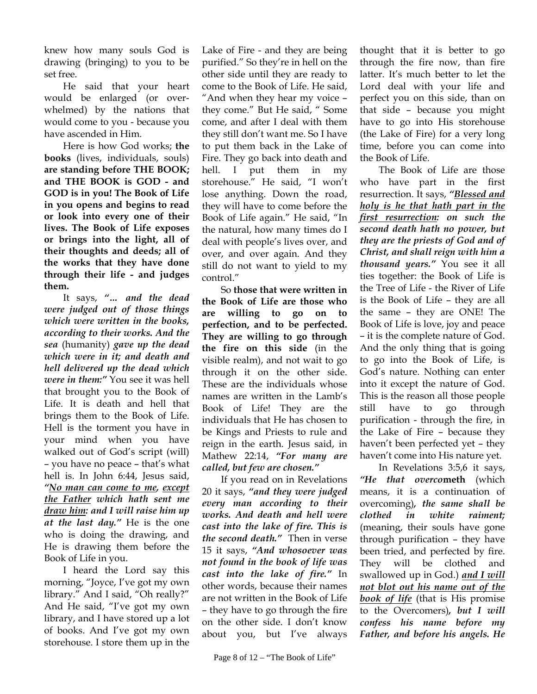knew how many souls God is drawing (bringing) to you to be set free.

He said that your heart would be enlarged (or overwhelmed) by the nations that would come to you - because you have ascended in Him.

Here is how God works; **the books** (lives, individuals, souls) **are standing before THE BOOK; and THE BOOK is GOD - and GOD is in you! The Book of Life in you opens and begins to read or look into every one of their lives. The Book of Life exposes or brings into the light, all of their thoughts and deeds; all of the works that they have done through their life - and judges them.** 

It says, *"… and the dead were judged out of those things which were written in the books, according to their works. And the sea* (humanity) *gave up the dead which were in it; and death and hell delivered up the dead which were in them:"* You see it was hell that brought you to the Book of Life. It is death and hell that brings them to the Book of Life. Hell is the torment you have in your mind when you have walked out of God's script (will) – you have no peace – that's what hell is. In John 6:44, Jesus said, *"No man can come to me, except the Father which hath sent me draw him: and I will raise him up at the last day."* He is the one who is doing the drawing, and He is drawing them before the Book of Life in you.

I heard the Lord say this morning, "Joyce, I've got my own library." And I said, "Oh really?" And He said, "I've got my own library, and I have stored up a lot of books. And I've got my own storehouse. I store them up in the Lake of Fire - and they are being purified." So they're in hell on the other side until they are ready to come to the Book of Life. He said, "And when they hear my voice – they come." But He said, " Some come, and after I deal with them they still don't want me. So I have to put them back in the Lake of Fire. They go back into death and hell. I put them in my storehouse." He said, "I won't lose anything. Down the road, they will have to come before the Book of Life again." He said, "In the natural, how many times do I deal with people's lives over, and over, and over again. And they still do not want to yield to my control."

So **those that were written in the Book of Life are those who are willing to go on to perfection, and to be perfected. They are willing to go through the fire on this side** (in the visible realm), and not wait to go through it on the other side. These are the individuals whose names are written in the Lamb's Book of Life! They are the individuals that He has chosen to be Kings and Priests to rule and reign in the earth. Jesus said, in Mathew 22:14, *"For many are called, but few are chosen."*

If you read on in Revelations 20 it says, *"and they were judged every man according to their works. And death and hell were cast into the lake of fire. This is the second death."* Then in verse 15 it says, *"And whosoever was not found in the book of life was cast into the lake of fire."* In other words, because their names are not written in the Book of Life – they have to go through the fire on the other side. I don't know about you, but I've always

thought that it is better to go through the fire now, than fire latter. It's much better to let the Lord deal with your life and perfect you on this side, than on that side – because you might have to go into His storehouse (the Lake of Fire) for a very long time, before you can come into the Book of Life.

The Book of Life are those who have part in the first resurrection. It says, *"Blessed and holy is he that hath part in the first resurrection: on such the second death hath no power, but they are the priests of God and of Christ, and shall reign with him a thousand years."* You see it all ties together: the Book of Life is the Tree of Life - the River of Life is the Book of Life – they are all the same – they are ONE! The Book of Life is love, joy and peace – it is the complete nature of God. And the only thing that is going to go into the Book of Life, is God's nature. Nothing can enter into it except the nature of God. This is the reason all those people still have to go through purification - through the fire, in the Lake of Fire – because they haven't been perfected yet – they haven't come into His nature yet.

In Revelations 3:5,6 it says, *"He that overco***meth** (which means, it is a continuation of overcoming)*, the same shall be clothed in white raiment;* (meaning, their souls have gone through purification – they have been tried, and perfected by fire. They will be clothed and swallowed up in God.) *and I will not blot out his name out of the book of life* (that is His promise to the Overcomers)*, but I will confess his name before my Father, and before his angels. He*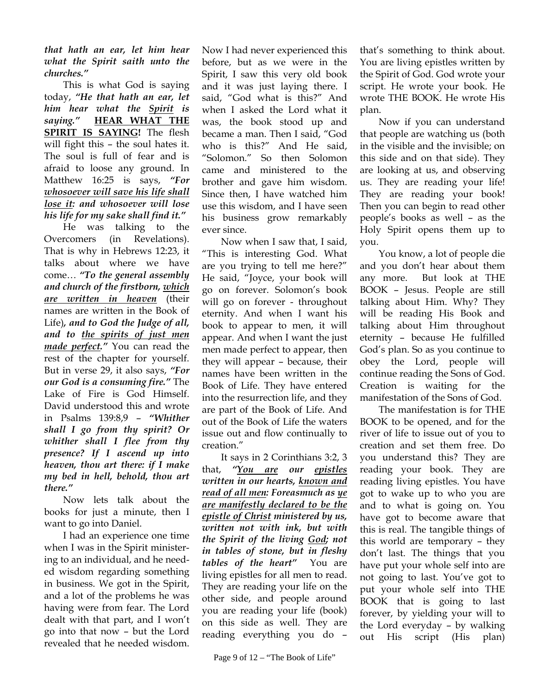*that hath an ear, let him hear what the Spirit saith unto the churches."*

This is what God is saying today, *"He that hath an ear, let him hear what the Spirit is saying."* **HEAR WHAT THE SPIRIT IS SAYING!** The flesh will fight this – the soul hates it. The soul is full of fear and is afraid to loose any ground. In Matthew 16:25 is says, *"For whosoever will save his life shall lose it: and whosoever will lose his life for my sake shall find it."*

He was talking to the Overcomers (in Revelations). That is why in Hebrews 12:23, it talks about where we have come… *"To the general assembly and church of the firstborn, which are written in heaven* (their names are written in the Book of Life)*, and to God the Judge of all, and to the spirits of just men made perfect."* You can read the rest of the chapter for yourself. But in verse 29, it also says, *"For our God is a consuming fire."* The Lake of Fire is God Himself. David understood this and wrote in Psalms 139:8,9 – *"Whither shall I go from thy spirit? Or whither shall I flee from thy presence? If I ascend up into heaven, thou art there: if I make my bed in hell, behold, thou art there."*

Now lets talk about the books for just a minute, then I want to go into Daniel.

I had an experience one time when I was in the Spirit ministering to an individual, and he needed wisdom regarding something in business. We got in the Spirit, and a lot of the problems he was having were from fear. The Lord dealt with that part, and I won't go into that now – but the Lord revealed that he needed wisdom.

Now I had never experienced this before, but as we were in the Spirit, I saw this very old book and it was just laying there. I said, "God what is this?" And when I asked the Lord what it was, the book stood up and became a man. Then I said, "God who is this?" And He said, "Solomon." So then Solomon came and ministered to the brother and gave him wisdom. Since then, I have watched him use this wisdom, and I have seen his business grow remarkably ever since.

Now when I saw that, I said, "This is interesting God. What are you trying to tell me here?" He said, "Joyce, your book will go on forever. Solomon's book will go on forever - throughout eternity. And when I want his book to appear to men, it will appear. And when I want the just men made perfect to appear, then they will appear – because, their names have been written in the Book of Life. They have entered into the resurrection life, and they are part of the Book of Life. And out of the Book of Life the waters issue out and flow continually to creation."

It says in 2 Corinthians 3:2, 3 that, *"You are our epistles written in our hearts, known and read of all men: Foreasmuch as ye are manifestly declared to be the epistle of Christ ministered by us, written not with ink, but with the Spirit of the living God; not in tables of stone, but in fleshy tables of the heart"* You are living epistles for all men to read. They are reading your life on the other side, and people around you are reading your life (book) on this side as well. They are reading everything you do –

that's something to think about. You are living epistles written by the Spirit of God. God wrote your script. He wrote your book. He wrote THE BOOK. He wrote His plan.

Now if you can understand that people are watching us (both in the visible and the invisible; on this side and on that side). They are looking at us, and observing us. They are reading your life! They are reading your book! Then you can begin to read other people's books as well – as the Holy Spirit opens them up to you.

You know, a lot of people die and you don't hear about them any more. But look at THE BOOK – Jesus. People are still talking about Him. Why? They will be reading His Book and talking about Him throughout eternity – because He fulfilled God's plan. So as you continue to obey the Lord, people will continue reading the Sons of God. Creation is waiting for the manifestation of the Sons of God.

The manifestation is for THE BOOK to be opened, and for the river of life to issue out of you to creation and set them free. Do you understand this? They are reading your book. They are reading living epistles. You have got to wake up to who you are and to what is going on. You have got to become aware that this is real. The tangible things of this world are temporary – they don't last. The things that you have put your whole self into are not going to last. You've got to put your whole self into THE BOOK that is going to last forever, by yielding your will to the Lord everyday – by walking out His script (His plan)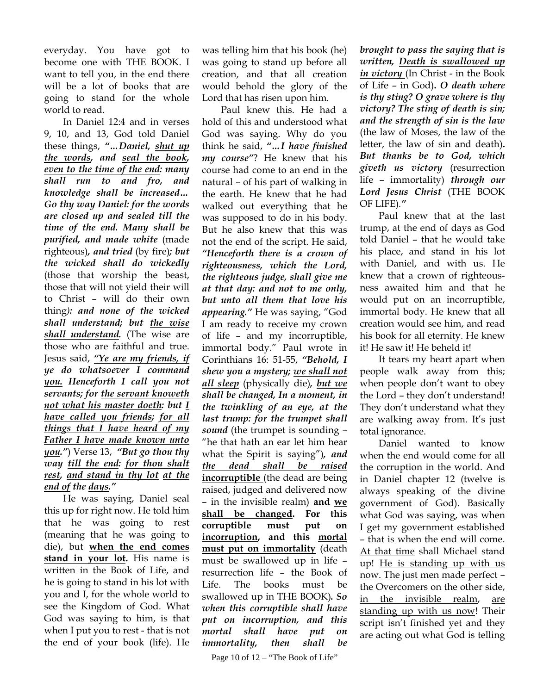everyday. You have got to become one with THE BOOK. I want to tell you, in the end there will be a lot of books that are going to stand for the whole world to read.

In Daniel 12:4 and in verses 9, 10, and 13, God told Daniel these things, *"…Daniel, shut up the words, and seal the book, even to the time of the end: many shall run to and fro, and knowledge shall be increased… Go thy way Daniel: for the words are closed up and sealed till the time of the end. Many shall be purified, and made white* (made righteous)*, and tried* (by fire)*; but the wicked shall do wickedly* (those that worship the beast, those that will not yield their will to Christ – will do their own thing*): and none of the wicked shall understand; but the wise shall understand.* (The wise are those who are faithful and true. Jesus said, *"Ye are my friends, if ye do whatsoever I command you. Henceforth I call you not servants; for the servant knoweth not what his master doeth: but I have called you friends; for all things that I have heard of my Father I have made known unto you."*) Verse 13,*"But go thou thy way till the end: for thou shalt rest, and stand in thy lot at the end of the days."*

He was saying, Daniel seal this up for right now. He told him that he was going to rest (meaning that he was going to die), but **when the end comes stand in your lot.** His name is written in the Book of Life, and he is going to stand in his lot with you and I, for the whole world to see the Kingdom of God. What God was saying to him, is that when I put you to rest - that is not the end of your book (life). He

was telling him that his book (he) was going to stand up before all creation, and that all creation would behold the glory of the Lord that has risen upon him.

Paul knew this. He had a hold of this and understood what God was saying. Why do you think he said, *"…I have finished my course"*? He knew that his course had come to an end in the natural – of his part of walking in the earth. He knew that he had walked out everything that he was supposed to do in his body. But he also knew that this was not the end of the script. He said, *"Henceforth there is a crown of righteousness, which the Lord, the righteous judge, shall give me at that day: and not to me only, but unto all them that love his appearing."* He was saying, "God I am ready to receive my crown of life – and my incorruptible, immortal body." Paul wrote in Corinthians 16: 51-55, *"Behold, I shew you a mystery; we shall not all sleep* (physically die)*, but we shall be changed, In a moment, in the twinkling of an eye, at the last trump: for the trumpet shall sound* (the trumpet is sounding – "he that hath an ear let him hear what the Spirit is saying")*, and the dead shall be raised* **incorruptible** (the dead are being raised, judged and delivered now – in the invisible realm) **and we shall be changed. For this corruptible must put on incorruption, and this mortal must put on immortality** (death must be swallowed up in life – resurrection life – the Book of Life. The books must be swallowed up in THE BOOK)*. So when this corruptible shall have put on incorruption, and this mortal shall have put on immortality, then shall be* 

Page 10 of  $12 -$  "The Book of Life"

*brought to pass the saying that is written, Death is swallowed up in victory* (In Christ - in the Book of Life – in God)**.** *O death where is thy sting? O grave where is thy victory? The sting of death is sin; and the strength of sin is the law* (the law of Moses, the law of the letter, the law of sin and death)**.**  *But thanks be to God, which giveth us victory* (resurrection life – immortality) *through our Lord Jesus Christ* (THE BOOK OF LIFE)*."* 

Paul knew that at the last trump, at the end of days as God told Daniel – that he would take his place, and stand in his lot with Daniel, and with us. He knew that a crown of righteousness awaited him and that he would put on an incorruptible, immortal body. He knew that all creation would see him, and read his book for all eternity. He knew it! He saw it! He beheld it!

It tears my heart apart when people walk away from this; when people don't want to obey the Lord – they don't understand! They don't understand what they are walking away from. It's just total ignorance.

Daniel wanted to know when the end would come for all the corruption in the world. And in Daniel chapter 12 (twelve is always speaking of the divine government of God). Basically what God was saying, was when I get my government established – that is when the end will come. At that time shall Michael stand up! He is standing up with us now. The just men made perfect – the Overcomers on the other side, in the invisible realm, are standing up with us now! Their script isn't finished yet and they are acting out what God is telling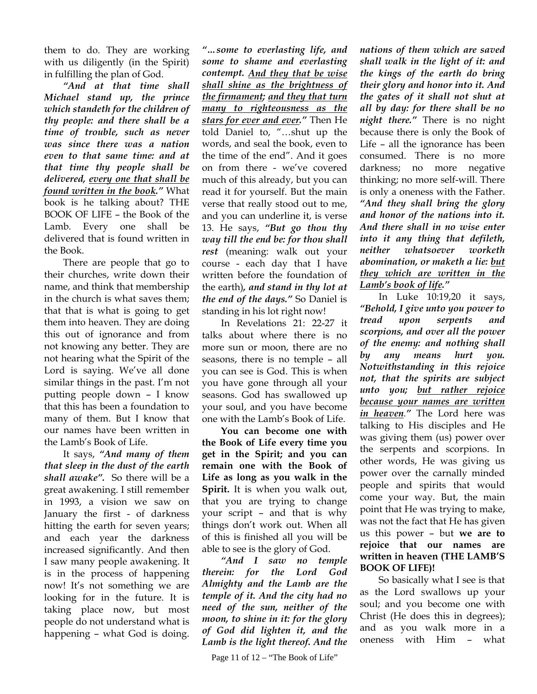them to do. They are working with us diligently (in the Spirit) in fulfilling the plan of God.

*"And at that time shall Michael stand up, the prince which standeth for the children of thy people: and there shall be a time of trouble, such as never was since there was a nation even to that same time: and at that time thy people shall be delivered, every one that shall be found written in the book."* What book is he talking about? THE BOOK OF LIFE – the Book of the Lamb. Every one shall be delivered that is found written in the Book.

There are people that go to their churches, write down their name, and think that membership in the church is what saves them; that that is what is going to get them into heaven. They are doing this out of ignorance and from not knowing any better. They are not hearing what the Spirit of the Lord is saying. We've all done similar things in the past. I'm not putting people down – I know that this has been a foundation to many of them. But I know that our names have been written in the Lamb's Book of Life.

It says, *"And many of them that sleep in the dust of the earth shall awake".* So there will be a great awakening. I still remember in 1993, a vision we saw on January the first - of darkness hitting the earth for seven years; and each year the darkness increased significantly. And then I saw many people awakening. It is in the process of happening now! It's not something we are looking for in the future. It is taking place now, but most people do not understand what is happening – what God is doing.

*"…some to everlasting life, and some to shame and everlasting contempt. And they that be wise shall shine as the brightness of the firmament; and they that turn many to righteousness as the stars for ever and ever."* Then He told Daniel to, "…shut up the words, and seal the book, even to the time of the end". And it goes on from there - we've covered much of this already, but you can read it for yourself. But the main verse that really stood out to me, and you can underline it, is verse 13. He says, *"But go thou thy way till the end be: for thou shall rest* (meaning: walk out your course - each day that I have written before the foundation of the earth)*, and stand in thy lot at the end of the days."* So Daniel is standing in his lot right now!

In Revelations 21: 22-27 it talks about where there is no more sun or moon, there are no seasons, there is no temple – all you can see is God. This is when you have gone through all your seasons. God has swallowed up your soul, and you have become one with the Lamb's Book of Life.

**You can become one with the Book of Life every time you get in the Spirit; and you can remain one with the Book of Life as long as you walk in the Spirit.** It is when you walk out, that you are trying to change your script – and that is why things don't work out. When all of this is finished all you will be able to see is the glory of God.

*"And I saw no temple therein: for the Lord God Almighty and the Lamb are the temple of it. And the city had no need of the sun, neither of the moon, to shine in it: for the glory of God did lighten it, and the Lamb is the light thereof. And the* 

*nations of them which are saved shall walk in the light of it: and the kings of the earth do bring their glory and honor into it. And the gates of it shall not shut at all by day: for there shall be no night there."* There is no night because there is only the Book of Life – all the ignorance has been consumed. There is no more darkness; no more negative thinking; no more self-will. There is only a oneness with the Father. *"And they shall bring the glory and honor of the nations into it. And there shall in no wise enter into it any thing that defileth, neither whatsoever worketh abomination, or maketh a lie: but they which are written in the Lamb's book of life."*

In Luke 10:19,20 it says, *"Behold, I give unto you power to tread upon serpents and scorpions, and over all the power of the enemy: and nothing shall by any means hurt you. Notwithstanding in this rejoice not, that the spirits are subject unto you; but rather rejoice because your names are written in heaven."* The Lord here was talking to His disciples and He was giving them (us) power over the serpents and scorpions. In other words, He was giving us power over the carnally minded people and spirits that would come your way. But, the main point that He was trying to make, was not the fact that He has given us this power – but **we are to rejoice that our names are written in heaven (THE LAMB'S BOOK OF LIFE)!**

So basically what I see is that as the Lord swallows up your soul; and you become one with Christ (He does this in degrees); and as you walk more in a oneness with Him – what

Page 11 of  $12 -$  "The Book of Life"